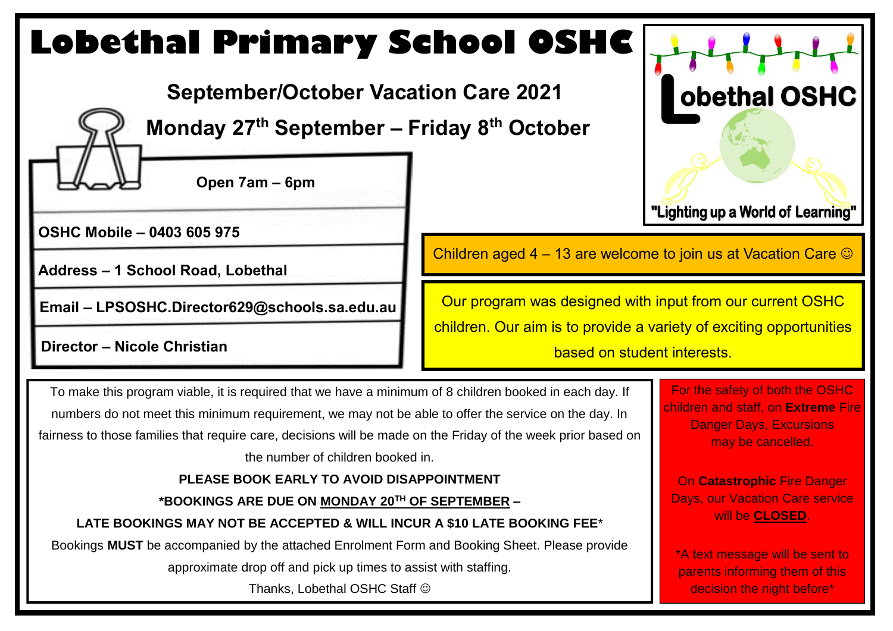# **Lobethal Primary School OSHC**

 **September/October Vacation Care 2021**

 **Monday 27th September – Friday 8th October**

**Open 7am – 6pm** 

**OSHC Mobile – 0403 605 975**

**Address – 1 School Road, Lobethal**

**Email – LPSOSHC.Director629@schools.sa.edu.au**

Children aged 4 – 13 are welcome to join us at Vacation Care  $\odot$ 

Our program was designed with input from our current OSHC children. Our aim is to provide a variety of exciting opportunities **birector – Nicole Christian and Southern Christian and Southern II is a contract to based on student interests.** 

To make this program viable, it is required that we have a minimum of 8 children booked in each day. If numbers do not meet this minimum requirement, we may not be able to offer the service on the day. In fairness to those families that require care, decisions will be made on the Friday of the week prior based on the number of children booked in.

#### **PLEASE BOOK EARLY TO AVOID DISAPPOINTMENT**

**\*BOOKINGS ARE DUE ON MONDAY 20TH OF SEPTEMBER –**

**LATE BOOKINGS MAY NOT BE ACCEPTED & WILL INCUR A \$10 LATE BOOKING FEE**\*

Bookings **MUST** be accompanied by the attached Enrolment Form and Booking Sheet. Please provide

approximate drop off and pick up times to assist with staffing.

Thanks, Lobethal OSHC Staff

#### For the safety of both the OSHC children and staff, on **Extreme** Fire Danger Days, Excursions may be cancelled.

**obethal OSHC** 

"Lighting up a World of Learning"

On **Catastrophic** Fire Danger Days, our Vacation Care service will be **CLOSED**.

\*A text message will be sent to parents informing them of this decision the night before\*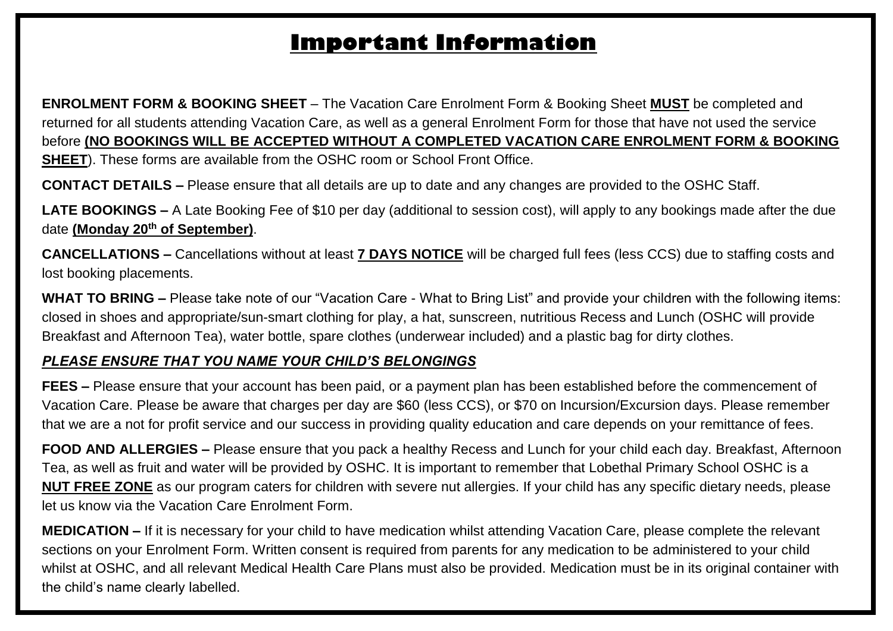## **Important Information**

**ENROLMENT FORM & BOOKING SHEET** – The Vacation Care Enrolment Form & Booking Sheet **MUST** be completed and returned for all students attending Vacation Care, as well as a general Enrolment Form for those that have not used the service before **(NO BOOKINGS WILL BE ACCEPTED WITHOUT A COMPLETED VACATION CARE ENROLMENT FORM & BOOKING SHEET**). These forms are available from the OSHC room or School Front Office.

**CONTACT DETAILS –** Please ensure that all details are up to date and any changes are provided to the OSHC Staff.

**LATE BOOKINGS –** A Late Booking Fee of \$10 per day (additional to session cost), will apply to any bookings made after the due date **(Monday 20th of September)**.

**CANCELLATIONS –** Cancellations without at least **7 DAYS NOTICE** will be charged full fees (less CCS) due to staffing costs and lost booking placements.

**WHAT TO BRING –** Please take note of our "Vacation Care - What to Bring List" and provide your children with the following items: closed in shoes and appropriate/sun-smart clothing for play, a hat, sunscreen, nutritious Recess and Lunch (OSHC will provide Breakfast and Afternoon Tea), water bottle, spare clothes (underwear included) and a plastic bag for dirty clothes.

#### *PLEASE ENSURE THAT YOU NAME YOUR CHILD'S BELONGINGS*

**FEES –** Please ensure that your account has been paid, or a payment plan has been established before the commencement of Vacation Care. Please be aware that charges per day are \$60 (less CCS), or \$70 on Incursion/Excursion days. Please remember that we are a not for profit service and our success in providing quality education and care depends on your remittance of fees.

**FOOD AND ALLERGIES –** Please ensure that you pack a healthy Recess and Lunch for your child each day. Breakfast, Afternoon Tea, as well as fruit and water will be provided by OSHC. It is important to remember that Lobethal Primary School OSHC is a **NUT FREE ZONE** as our program caters for children with severe nut allergies. If your child has any specific dietary needs, please let us know via the Vacation Care Enrolment Form.

**MEDICATION –** If it is necessary for your child to have medication whilst attending Vacation Care, please complete the relevant sections on your Enrolment Form. Written consent is required from parents for any medication to be administered to your child whilst at OSHC, and all relevant Medical Health Care Plans must also be provided. Medication must be in its original container with the child's name clearly labelled.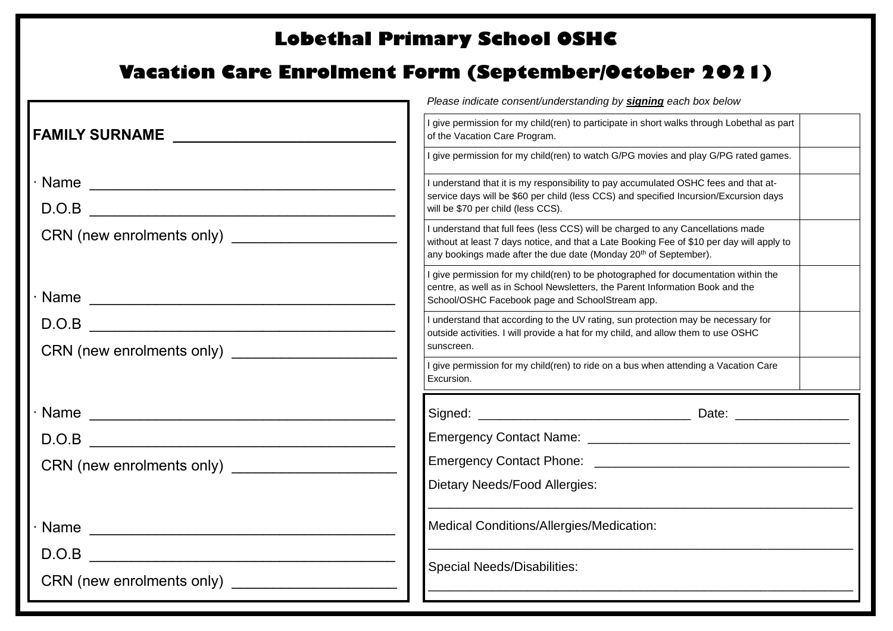## **Lobethal Primary School OSHC**

## **Vacation Care Enrolment Form (September/October 2021)**

|                                                    | Please indicate consent/understanding by signing each box below                                                                                                                                                                                               |  |  |  |
|----------------------------------------------------|---------------------------------------------------------------------------------------------------------------------------------------------------------------------------------------------------------------------------------------------------------------|--|--|--|
|                                                    | I give permission for my child(ren) to participate in short walks through Lobethal as part<br>of the Vacation Care Program.                                                                                                                                   |  |  |  |
|                                                    | I give permission for my child(ren) to watch G/PG movies and play G/PG rated games.                                                                                                                                                                           |  |  |  |
|                                                    | I understand that it is my responsibility to pay accumulated OSHC fees and that at-<br>service days will be \$60 per child (less CCS) and specified Incursion/Excursion days<br>will be \$70 per child (less CCS).                                            |  |  |  |
|                                                    |                                                                                                                                                                                                                                                               |  |  |  |
|                                                    | I understand that full fees (less CCS) will be charged to any Cancellations made<br>without at least 7 days notice, and that a Late Booking Fee of \$10 per day will apply to<br>any bookings made after the due date (Monday 20 <sup>th</sup> of September). |  |  |  |
|                                                    | I give permission for my child(ren) to be photographed for documentation within the<br>centre, as well as in School Newsletters, the Parent Information Book and the<br>School/OSHC Facebook page and SchoolStream app.                                       |  |  |  |
|                                                    | I understand that according to the UV rating, sun protection may be necessary for<br>outside activities. I will provide a hat for my child, and allow them to use OSHC                                                                                        |  |  |  |
|                                                    | sunscreen.                                                                                                                                                                                                                                                    |  |  |  |
|                                                    | I give permission for my child(ren) to ride on a bus when attending a Vacation Care<br>Excursion.                                                                                                                                                             |  |  |  |
|                                                    |                                                                                                                                                                                                                                                               |  |  |  |
|                                                    |                                                                                                                                                                                                                                                               |  |  |  |
|                                                    |                                                                                                                                                                                                                                                               |  |  |  |
|                                                    | Dietary Needs/Food Allergies:                                                                                                                                                                                                                                 |  |  |  |
| Name                                               | Medical Conditions/Allergies/Medication:                                                                                                                                                                                                                      |  |  |  |
|                                                    | <b>Special Needs/Disabilities:</b>                                                                                                                                                                                                                            |  |  |  |
| CRN (new enrolments only) ________________________ |                                                                                                                                                                                                                                                               |  |  |  |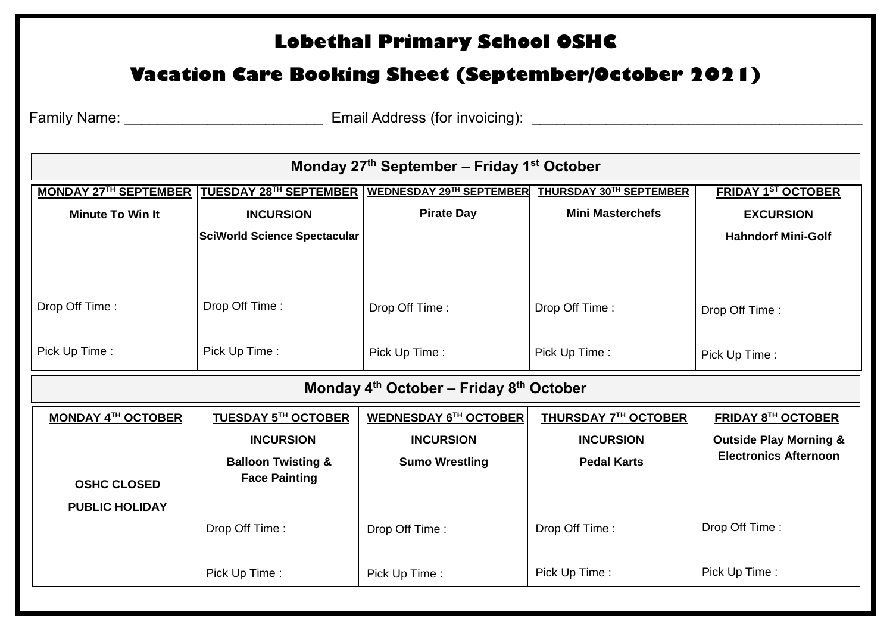## **Lobethal Primary School OSHC**

### **Vacation Care Booking Sheet (September/October 2021)**

Family Name: \_\_\_\_\_\_\_\_\_\_\_\_\_\_\_\_\_\_\_\_\_\_\_\_ Email Address (for invoicing): \_\_\_\_\_\_\_\_\_\_\_\_\_\_\_\_\_\_\_\_\_\_\_\_\_\_\_\_\_\_\_\_\_\_\_\_\_\_\_\_

| Monday 27th September - Friday 1st October  |                                                       |                                 |                         |                                   |  |  |  |  |  |
|---------------------------------------------|-------------------------------------------------------|---------------------------------|-------------------------|-----------------------------------|--|--|--|--|--|
| <b>MONDAY 27TH SEPTEMBER</b>                | TUESDAY 28TH SEPTEMBER                                | <b>WEDNESDAY 29TH SEPTEMBER</b> | THURSDAY 30TH SEPTEMBER | <b>FRIDAY 1ST OCTOBER</b>         |  |  |  |  |  |
| <b>Minute To Win It</b>                     | <b>INCURSION</b>                                      | <b>Pirate Day</b>               | <b>Mini Masterchefs</b> | <b>EXCURSION</b>                  |  |  |  |  |  |
|                                             | <b>SciWorld Science Spectacular</b>                   |                                 |                         | <b>Hahndorf Mini-Golf</b>         |  |  |  |  |  |
| Drop Off Time:                              | Drop Off Time:                                        | Drop Off Time:                  | Drop Off Time:          | Drop Off Time:                    |  |  |  |  |  |
|                                             |                                                       |                                 |                         |                                   |  |  |  |  |  |
| Pick Up Time:                               | Pick Up Time:                                         | Pick Up Time:                   | Pick Up Time:           | Pick Up Time:                     |  |  |  |  |  |
| Monday $4th$ October – Friday $8th$ October |                                                       |                                 |                         |                                   |  |  |  |  |  |
|                                             |                                                       |                                 |                         |                                   |  |  |  |  |  |
| <b>MONDAY 4TH OCTOBER</b>                   | <b>TUESDAY 5TH OCTOBER</b>                            | <b>WEDNESDAY 6TH OCTOBER</b>    | THURSDAY 7TH OCTOBER    | <b>FRIDAY 8TH OCTOBER</b>         |  |  |  |  |  |
|                                             | <b>INCURSION</b>                                      | <b>INCURSION</b>                | <b>INCURSION</b>        | <b>Outside Play Morning &amp;</b> |  |  |  |  |  |
| <b>OSHC CLOSED</b>                          | <b>Balloon Twisting &amp;</b><br><b>Face Painting</b> | <b>Sumo Wrestling</b>           | <b>Pedal Karts</b>      | <b>Electronics Afternoon</b>      |  |  |  |  |  |
| <b>PUBLIC HOLIDAY</b>                       | Drop Off Time:                                        | Drop Off Time:                  | Drop Off Time:          | Drop Off Time:                    |  |  |  |  |  |